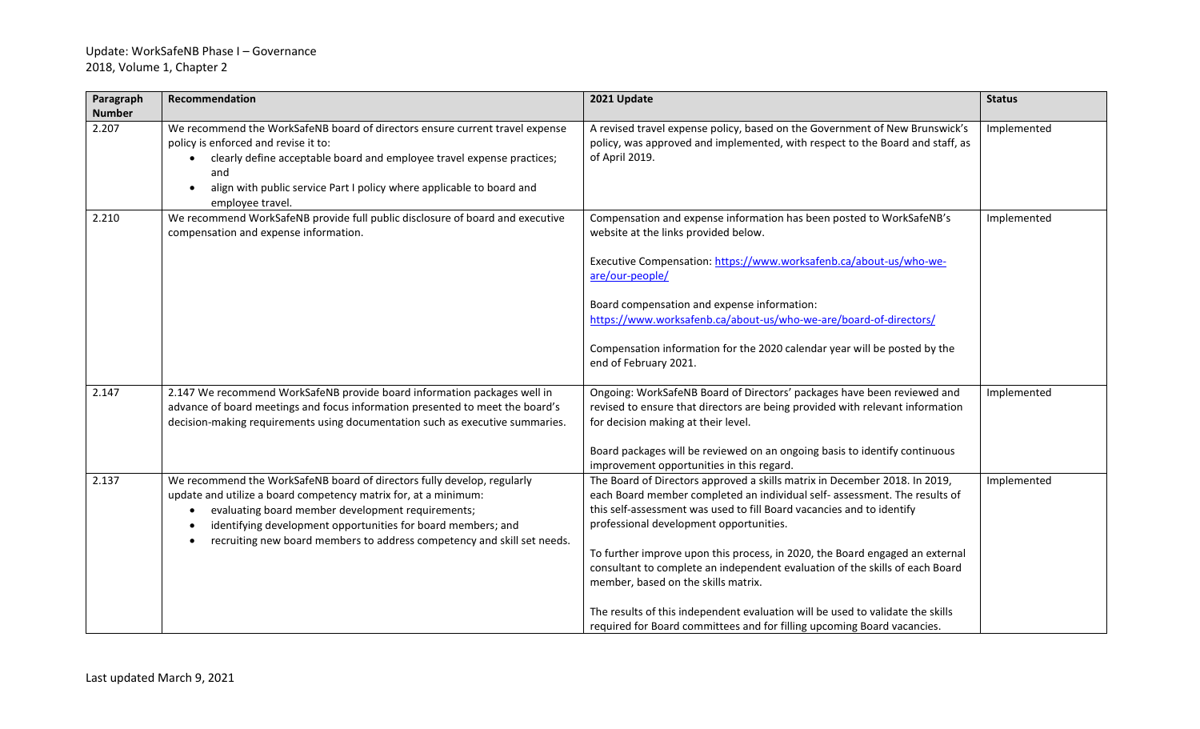## Update: WorkSafeNB Phase I – Governance 2018, Volume 1, Chapter 2

| Paragraph<br><b>Number</b> | Recommendation                                                                                                                                                                                                                                                                                                                             | 2021 Update                                                                                                                                                                                                                                                                                                                                                                                                                                                                                                                                                                                                                                      | <b>Status</b> |
|----------------------------|--------------------------------------------------------------------------------------------------------------------------------------------------------------------------------------------------------------------------------------------------------------------------------------------------------------------------------------------|--------------------------------------------------------------------------------------------------------------------------------------------------------------------------------------------------------------------------------------------------------------------------------------------------------------------------------------------------------------------------------------------------------------------------------------------------------------------------------------------------------------------------------------------------------------------------------------------------------------------------------------------------|---------------|
| 2.207                      | We recommend the WorkSafeNB board of directors ensure current travel expense<br>policy is enforced and revise it to:<br>clearly define acceptable board and employee travel expense practices;<br>and<br>align with public service Part I policy where applicable to board and<br>employee travel.                                         | A revised travel expense policy, based on the Government of New Brunswick's<br>policy, was approved and implemented, with respect to the Board and staff, as<br>of April 2019.                                                                                                                                                                                                                                                                                                                                                                                                                                                                   | Implemented   |
| 2.210                      | We recommend WorkSafeNB provide full public disclosure of board and executive<br>compensation and expense information.                                                                                                                                                                                                                     | Compensation and expense information has been posted to WorkSafeNB's<br>website at the links provided below.<br>Executive Compensation: https://www.worksafenb.ca/about-us/who-we-<br>are/our-people/<br>Board compensation and expense information:<br>https://www.worksafenb.ca/about-us/who-we-are/board-of-directors/<br>Compensation information for the 2020 calendar year will be posted by the<br>end of February 2021.                                                                                                                                                                                                                  | Implemented   |
| 2.147                      | 2.147 We recommend WorkSafeNB provide board information packages well in<br>advance of board meetings and focus information presented to meet the board's<br>decision-making requirements using documentation such as executive summaries.                                                                                                 | Ongoing: WorkSafeNB Board of Directors' packages have been reviewed and<br>revised to ensure that directors are being provided with relevant information<br>for decision making at their level.<br>Board packages will be reviewed on an ongoing basis to identify continuous<br>improvement opportunities in this regard.                                                                                                                                                                                                                                                                                                                       | Implemented   |
| 2.137                      | We recommend the WorkSafeNB board of directors fully develop, regularly<br>update and utilize a board competency matrix for, at a minimum:<br>evaluating board member development requirements;<br>identifying development opportunities for board members; and<br>recruiting new board members to address competency and skill set needs. | The Board of Directors approved a skills matrix in December 2018. In 2019,<br>each Board member completed an individual self- assessment. The results of<br>this self-assessment was used to fill Board vacancies and to identify<br>professional development opportunities.<br>To further improve upon this process, in 2020, the Board engaged an external<br>consultant to complete an independent evaluation of the skills of each Board<br>member, based on the skills matrix.<br>The results of this independent evaluation will be used to validate the skills<br>required for Board committees and for filling upcoming Board vacancies. | Implemented   |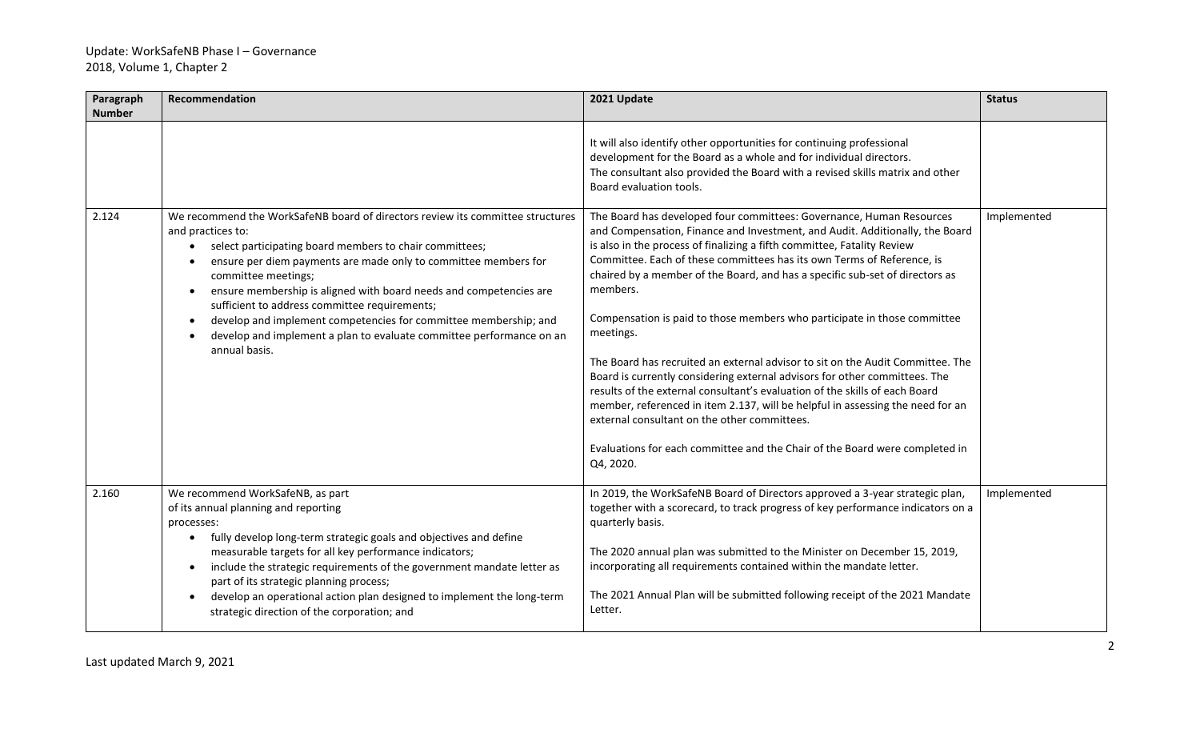| Paragraph<br><b>Number</b> | Recommendation                                                                                                                                                                                                                                                                                                                                                                                                                                                                                                                                            | 2021 Update                                                                                                                                                                                                                                                                                                                                                                                                                                                                                                                                                                                                                                                                                                                                                                                                                                                                                                                                                                 | <b>Status</b> |
|----------------------------|-----------------------------------------------------------------------------------------------------------------------------------------------------------------------------------------------------------------------------------------------------------------------------------------------------------------------------------------------------------------------------------------------------------------------------------------------------------------------------------------------------------------------------------------------------------|-----------------------------------------------------------------------------------------------------------------------------------------------------------------------------------------------------------------------------------------------------------------------------------------------------------------------------------------------------------------------------------------------------------------------------------------------------------------------------------------------------------------------------------------------------------------------------------------------------------------------------------------------------------------------------------------------------------------------------------------------------------------------------------------------------------------------------------------------------------------------------------------------------------------------------------------------------------------------------|---------------|
|                            |                                                                                                                                                                                                                                                                                                                                                                                                                                                                                                                                                           | It will also identify other opportunities for continuing professional<br>development for the Board as a whole and for individual directors.<br>The consultant also provided the Board with a revised skills matrix and other<br>Board evaluation tools.                                                                                                                                                                                                                                                                                                                                                                                                                                                                                                                                                                                                                                                                                                                     |               |
| 2.124                      | We recommend the WorkSafeNB board of directors review its committee structures<br>and practices to:<br>select participating board members to chair committees;<br>ensure per diem payments are made only to committee members for<br>committee meetings;<br>ensure membership is aligned with board needs and competencies are<br>$\bullet$<br>sufficient to address committee requirements;<br>develop and implement competencies for committee membership; and<br>develop and implement a plan to evaluate committee performance on an<br>annual basis. | The Board has developed four committees: Governance, Human Resources<br>and Compensation, Finance and Investment, and Audit. Additionally, the Board<br>is also in the process of finalizing a fifth committee, Fatality Review<br>Committee. Each of these committees has its own Terms of Reference, is<br>chaired by a member of the Board, and has a specific sub-set of directors as<br>members.<br>Compensation is paid to those members who participate in those committee<br>meetings.<br>The Board has recruited an external advisor to sit on the Audit Committee. The<br>Board is currently considering external advisors for other committees. The<br>results of the external consultant's evaluation of the skills of each Board<br>member, referenced in item 2.137, will be helpful in assessing the need for an<br>external consultant on the other committees.<br>Evaluations for each committee and the Chair of the Board were completed in<br>Q4, 2020. | Implemented   |
| 2.160                      | We recommend WorkSafeNB, as part<br>of its annual planning and reporting<br>processes:<br>fully develop long-term strategic goals and objectives and define<br>$\bullet$<br>measurable targets for all key performance indicators;<br>include the strategic requirements of the government mandate letter as<br>$\bullet$<br>part of its strategic planning process;<br>develop an operational action plan designed to implement the long-term<br>$\bullet$<br>strategic direction of the corporation; and                                                | In 2019, the WorkSafeNB Board of Directors approved a 3-year strategic plan,<br>together with a scorecard, to track progress of key performance indicators on a<br>quarterly basis.<br>The 2020 annual plan was submitted to the Minister on December 15, 2019,<br>incorporating all requirements contained within the mandate letter.<br>The 2021 Annual Plan will be submitted following receipt of the 2021 Mandate<br>Letter.                                                                                                                                                                                                                                                                                                                                                                                                                                                                                                                                           | Implemented   |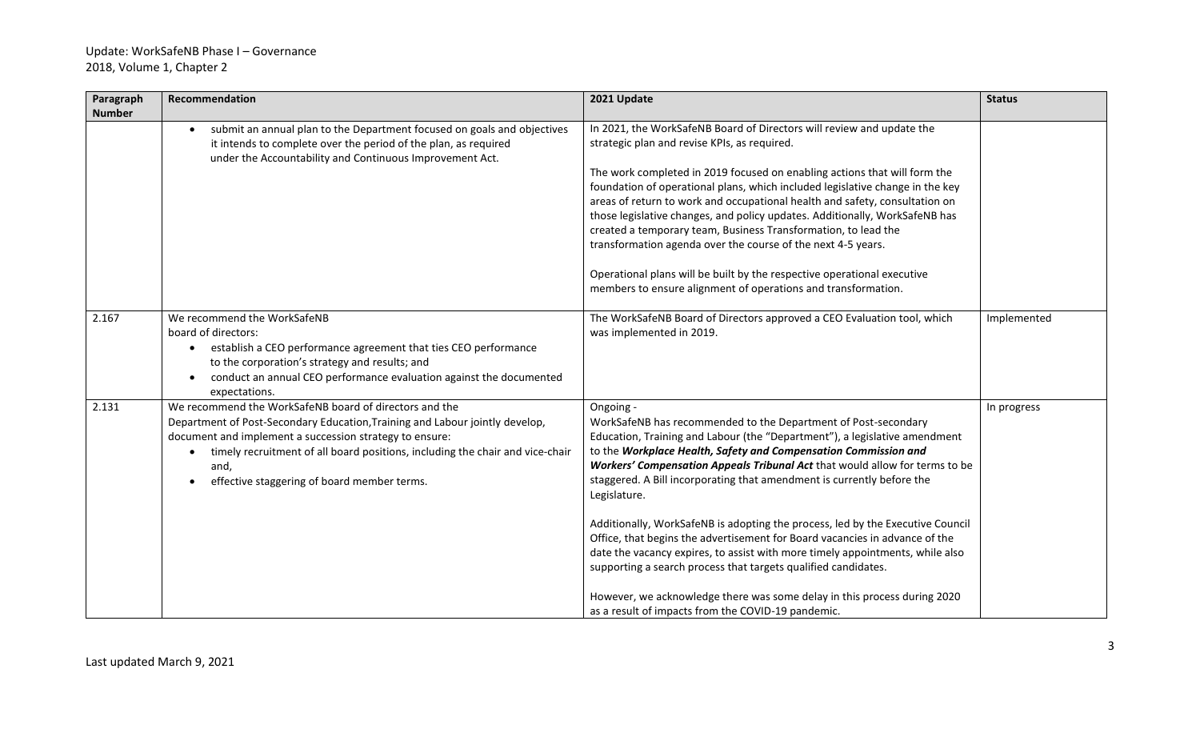## Update: WorkSafeNB Phase I – Governance 2018, Volume 1, Chapter 2

| Paragraph     | Recommendation                                                                                                              | 2021 Update                                                                                                                                           | <b>Status</b> |
|---------------|-----------------------------------------------------------------------------------------------------------------------------|-------------------------------------------------------------------------------------------------------------------------------------------------------|---------------|
| <b>Number</b> |                                                                                                                             |                                                                                                                                                       |               |
|               | submit an annual plan to the Department focused on goals and objectives                                                     | In 2021, the WorkSafeNB Board of Directors will review and update the                                                                                 |               |
|               | it intends to complete over the period of the plan, as required<br>under the Accountability and Continuous Improvement Act. | strategic plan and revise KPIs, as required.                                                                                                          |               |
|               |                                                                                                                             | The work completed in 2019 focused on enabling actions that will form the                                                                             |               |
|               |                                                                                                                             | foundation of operational plans, which included legislative change in the key                                                                         |               |
|               |                                                                                                                             | areas of return to work and occupational health and safety, consultation on                                                                           |               |
|               |                                                                                                                             | those legislative changes, and policy updates. Additionally, WorkSafeNB has                                                                           |               |
|               |                                                                                                                             | created a temporary team, Business Transformation, to lead the                                                                                        |               |
|               |                                                                                                                             | transformation agenda over the course of the next 4-5 years.                                                                                          |               |
|               |                                                                                                                             | Operational plans will be built by the respective operational executive                                                                               |               |
|               |                                                                                                                             | members to ensure alignment of operations and transformation.                                                                                         |               |
|               |                                                                                                                             |                                                                                                                                                       |               |
| 2.167         | We recommend the WorkSafeNB                                                                                                 | The WorkSafeNB Board of Directors approved a CEO Evaluation tool, which                                                                               | Implemented   |
|               | board of directors:                                                                                                         | was implemented in 2019.                                                                                                                              |               |
|               | establish a CEO performance agreement that ties CEO performance                                                             |                                                                                                                                                       |               |
|               | to the corporation's strategy and results; and                                                                              |                                                                                                                                                       |               |
|               | conduct an annual CEO performance evaluation against the documented                                                         |                                                                                                                                                       |               |
|               | expectations.                                                                                                               |                                                                                                                                                       |               |
| 2.131         | We recommend the WorkSafeNB board of directors and the                                                                      | Ongoing -                                                                                                                                             | In progress   |
|               | Department of Post-Secondary Education, Training and Labour jointly develop,                                                | WorkSafeNB has recommended to the Department of Post-secondary                                                                                        |               |
|               | document and implement a succession strategy to ensure:                                                                     | Education, Training and Labour (the "Department"), a legislative amendment                                                                            |               |
|               | timely recruitment of all board positions, including the chair and vice-chair                                               | to the Workplace Health, Safety and Compensation Commission and                                                                                       |               |
|               | and,                                                                                                                        | Workers' Compensation Appeals Tribunal Act that would allow for terms to be<br>staggered. A Bill incorporating that amendment is currently before the |               |
|               | effective staggering of board member terms.                                                                                 | Legislature.                                                                                                                                          |               |
|               |                                                                                                                             |                                                                                                                                                       |               |
|               |                                                                                                                             | Additionally, WorkSafeNB is adopting the process, led by the Executive Council                                                                        |               |
|               |                                                                                                                             | Office, that begins the advertisement for Board vacancies in advance of the                                                                           |               |
|               |                                                                                                                             | date the vacancy expires, to assist with more timely appointments, while also                                                                         |               |
|               |                                                                                                                             | supporting a search process that targets qualified candidates.                                                                                        |               |
|               |                                                                                                                             | However, we acknowledge there was some delay in this process during 2020                                                                              |               |
|               |                                                                                                                             | as a result of impacts from the COVID-19 pandemic.                                                                                                    |               |